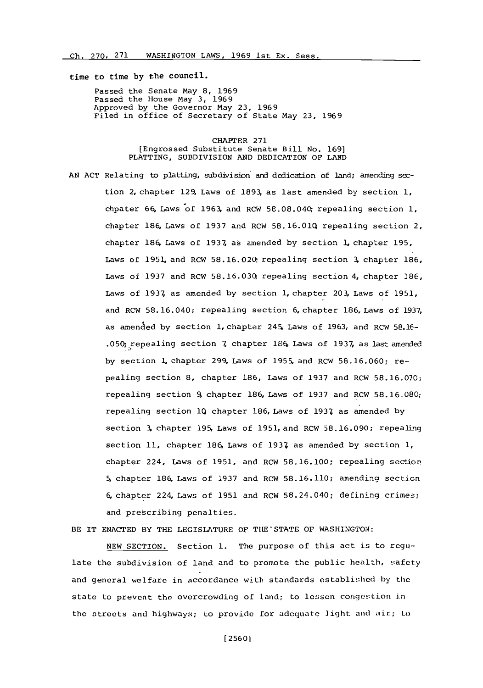time to time **by** the council.

Passed the Senate May **8, 1969** Passed the House May **3, 1969** Approved **by** the Governor May **23, 1969** Filed in office of Secretary of State May **23, 1969**

> CHAPTER **271** [Engrossed Substitute Senate Bill No. **169]** PLATTING, SUBDIVISION **AND** DEDICATION OF **LAND**

**AN ACT** Relating to platting, subdivision and dedication of land; amending section 2, chapter 129, Laws of **1893,** as last amended **by** section **1,** chpater 66, Laws-of **1963,** and RCW 58.08.040 repealing section **1,** chapter 186, Laws of **1937** and RCW **58.16.010;** repealing section 2, chapter **186,** Laws of **1937,** as anended **by** section 1, chapter **195,** Laws of 1951. and RCW 58.16.020; repealing section **3,** chapter **186,** Laws of **1937** and RCW **58.16.03;** repealing section 4, chapter **186,** Laws of **1937,** as amended **by** section 1, chapter 203, Laws of **1951,** and RCW **58.** 16.040; repealing section **6,** chapter **186,** Laws of **1937,** as amended **by** section 1, chapter 24-5, Laws of **1963,** and ROW **58.16- .050;** :yrepealing section **7** chapter 184. Laws of **1937,** as last amended **by** section **1,** chapter 299, Laws of **1955%** and ROW **58.16.060;** repealing section **8,** chapter **186,** Laws of **1937** and ROW **58.16.070;** repealing section 9, chapter 186, Laws of **1937** and ROW **58.1l6.080;** repealing section **1Q** chapter 186, Laws of **1931** as amended **by** section **3,** chapter **195%** Laws of 1951, and ROW **58.16.090;** repealing section **11,** chapter 186, Laws of **1931** as amended **by** section **1,** chapter 224, Laws of **1951,** and ROW **58.16.100;** repealing section 5,chapter 186. Laws of **1937** and ROW **58.16.110;** amending section 6, chapter 224, Laws of **1951** and ROW 58.24-040; defining crimes; and prescribing penalties.

BE IT ENACTED BY THE LEGISLATURE OF THE STATE OF WASHINGTON:

**NEW** SECTION. Section **1.** The purpose of this act is to regulate the subdivision of land and to promote the public health, safety and general welfare in accordance with standards established **by** the state to prevent the overcrowding of land; to lessen congestion in the streets and highways; to provide for adequate light and air; Lo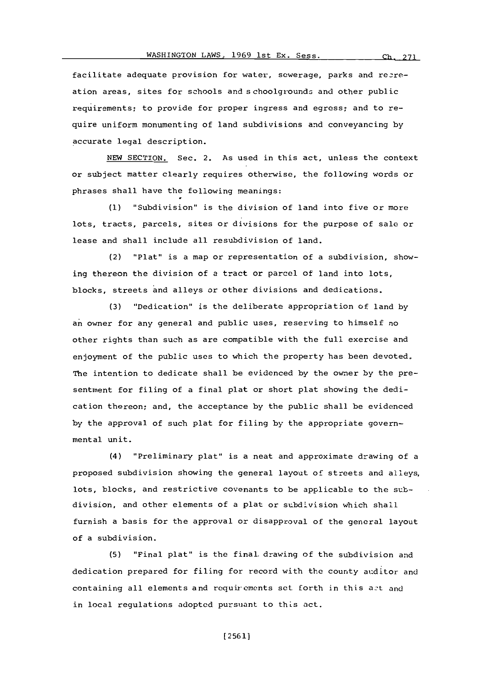facilitate adequate provision for water, sewerage, parks and recreation areas, sites for schools and schoolgrounds and other public requirements; to provide for proper ingress and egress; and to require uniform monumenting of land subdivisions and conveyancing **by** accurate legal description.

**NEW** SECTION. Sec. 2. As used in this act, unless the context or subject matter clearly requires otherwise, the following words or phrases shall have the following meanings:

**(1)** "Subdivision" is the division of land into five or more lots, tracts, parcels, sites or divisions for the purpose of sale or lease and shall include all resubdivision of land.

(2) "Plat" is a map or representation of a subdivision, showing thereon the division of a tract or parcel of land into lots, blocks, streets and alleys or other divisions and dedications.

**(3)** "Dedication" is the deliberate appropriation of land **by** an owner for any general and public uses, reserving to himself no other rights than such as are compatible with the full exercise and enjoyment of the public uses to which the property has been devoted, The intention to dedicate shall be evidenced **by** the owner **by** the presentment for filing of a final plat or short plat showing the dedication thereon; and, the acceptance **by** the public shall be evidenced **by** the approval of such plat for filing **by** the appropriate governmental unit.

(4) "Preliminary plat" is a neat and approximate drawing of a proposed subdivision showing the general layout of streets and alleys, lots, blocks, and restrictive covenants to be applicable to the subdivision, and other elements of a plat or subdivision which shall furnish a basis for the approval or disapproval of the general layout of a subdivision.

**(5)** "Final plat" is the final, drawing of the subdivision and dedication prepared for filing for record with the county auditor and containing all elements and requirements set forth in this act and in local regulations adopted pursuant to this act.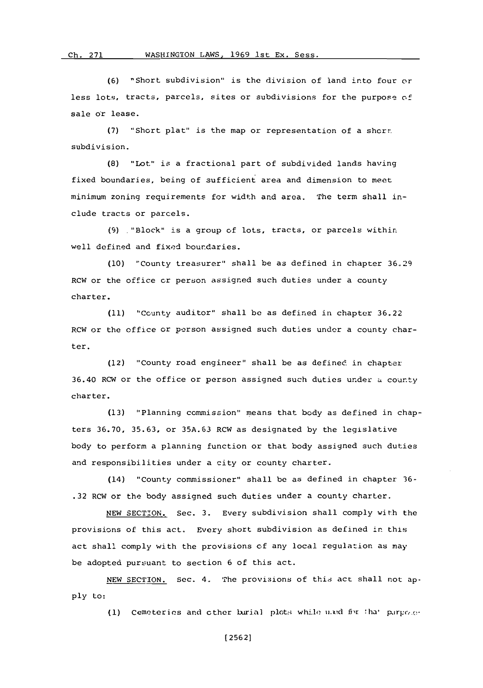**(6)** "Short subdivision" is the division of land into four or less lots, tracts, parcels, sites or subdivisions for the purpose of sale or lease.

**(7)** 'Short plat" is the map or representation of a shcr-. subdivision.

**(8)** "Lot" is a fractional part of subdivided lands having fixed boundaries, being of sufficient area and dimension to meet minimum zoning requirements for width and area. The term shall include tracts or parcels.

**(9)** .Block" is a group of lots, tracts, or parcels within well defined and fixed boundaries.

**(10)** "County treasurer" shall be as defined in chapter **36.29** RCW or the office or person assigned such duties under a county charter.

**(11)** "County auditor' shall **be** as defined in chapter **36.22** RCW or the office or person assigned such duties undor a county charter.

(12) "County road engineer" shall be as defined in chapter 36.40 RCW or the office or person assigned such duties under a county charter.

**(13)** 'Planning commission" means that body as defined in chapters **36.70, 35.63,** or **35A.63** RCW as designated **by** the legislative body to perform a planning function or that body assigned such duties and responsibilities under a city or county charter.

(14) "County commissioner" shall be as defined in chapter **36- .32** RCW or the body assigned such duties under a county charter.

**NEW SECTION.** Sec. **3.** Every subdivision shall comply with the provisions of this act. Every short subdivision as defined in this act shall comply with the provisions cf any local regulation as may be adopted pursuant to section 6 of this act.

**NEW SECT1ION. Sec.** 4. The provisions of this act shall not ap**ply** to:

**(1)** Cemeteries and cther Lxiin plot:; while **iz.xmd** *fr* !ha' p.Irpc(.- .\*

**[256** 21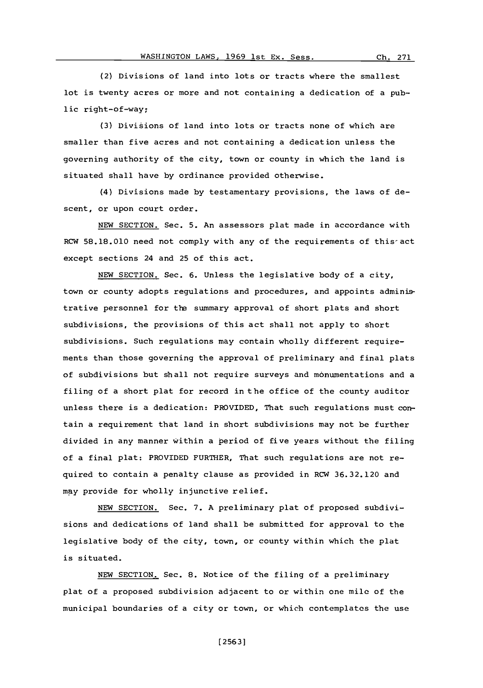Ch. 271

(2) Divisions of land into lots or tracts where the smallest lot is twenty acres or more and not containing a dedication of a public right-of-wav;

**(3)** Divisions of land into lots or tracts none of which are smaller than five acres and not containing a dedication unless the governing authority of the city, town or county in which the land is situated shall have **by** ordinance provided otherwise.

(4) Divisions made **by** testamentary provisions, the laws of descent, or upon court order.

**NEW SECTION.** Sec. **5.** An assessors plat made in accordance with RCW **58.18.010** need not comply with any of the requirements of this-act except sections 24 and **25** of this act.

**NEW** SECTION. Sec. **6.** Unless the legislative body of a city, town or county adopts regulations and procedures, and appoints administrative personnel for the summary approval of short plats and short subdivisions, the provisions of this act shall not apply to short subdivisions. Such regulations may contain wholly different requirements than those governing the approval of preliminary and final plats of subdivisions but shall not require surveys and monumentations and a filing of a short plat for record in the office of the county auditor unless there is a dedication: PROVIDED, That such regulations must contain a requirement that land in short subdivisions may not be further divided in any manner within a period of five years without the filing of a final plat: PROVIDED FURTHER, That such regulations are not required to contain a penalty clause as provided in RCW 36.32.120 and nay provide for wholly injunctive relief.

**NEW** SECTION. Sec. **7. A** preliminary plat of proposed subdivisions and dedications of land shall be submitted for approval to the legislative body of the city, town, or county within which the plat is situated.

**NEW** SECTION. Sec. **8.** Notice of the filing of a preliminary plat of a proposed subdivision adjacent to or within one mile of the municipal boundaries of a city or town, or which contemplates the use

**[2563]**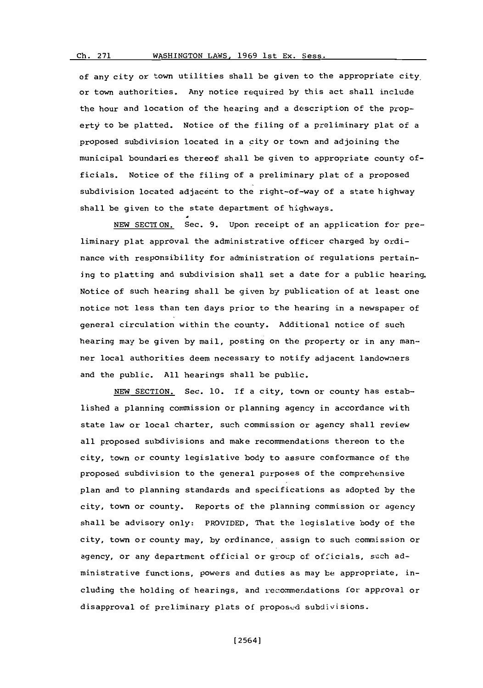#### WASHINGTON LAWS, 1969 1st Ex. Sess. **Ch. 271**

of any city or town utilities shall be given to the appropriate city. or town authorities. Any notice required **by** this act shall include the hour and location of the hearing and a description of the property to be platted. Notice of the filing of a preliminary plat of a proposed subdivision located in a city or town and adjoining the municipal boundaries thereof shall be given to appropriate county officials. Notice of the filing of a preliminary plat of a proposed subdivision located adjacent to the right-of-way of a state highway shall be given to the state department of highways.

**NEW SECTION.** Sec. **9.** Upon receipt of an application for preliminary plat approval the administrative officer charged **by** ordinance with responsibility for administration of regulations pertaining to platting and subdivision shall set a date for a public hearing. Notice of such hearing shall be given **by** publication of at least one notice not less than ten days prior to the hearing in a newspaper of general circulation within the county. Additional notice of such hearing may be given **by** mail, posting on the property or in any manner local authorities deem necessary to notify adjacent landowners and the public. **All** hearings shall be public.

**NEW** SECTION. Sec. **10. If** a city, town or county has established a planning commission or planning agency in accordance with state law or local charter, such commission or agency shall review all proposed subdivisions and make recommendations thereon to the city, town or county legislative body to assure conformance of the proposed subdivision to the general purposes of the comprehensive plan and to planning standards and specifications as adopted **by** the city, town or county. Reports of the planning commission or agency shall be advisory only: PROVIDED, That the legislative body of the city, town or county may, **by** ordinance, assign to such commission or agency, or any department official or group of officials, such administrative functions, powers and duties as may be appropriate, including the holding of hearings, and recommendations for approval or disapproval of preliminary plats of proposed subdivisions.

**[** 2564]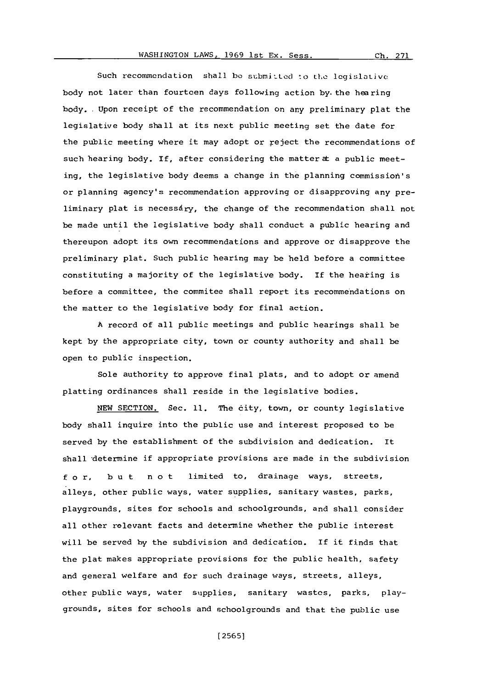Such recommendation shall be submitted to the legislative body not later than fourtcen days following action by the hearing body.. Upon receipt of the recommendation on any preliminary plat the legislative body shall at its next public meeting set the date for the public meeting where it may adopt or reject the recommendations of such hearing body. If, after considering the matter at a public meeting, the legislative body deems a change in the planning commission's or planning agency's recommendation approving or disapproving any preliminary plat is necessary, the change of the recommendation shall not be made until the legislative body shall conduct a public hearing and thereupon adopt its own recommendations and approve or disapprove the preliminary plat. Such public hearing may be held before a committee constituting a majority of the legislative body. If the heating is before a committee, the commitee shall report its recommendations on the matter to the legislative body for final action.

**A** record of all public meetings and public hearings shall be kept **by** the appropriate city, town or county authority and shall be open to public inspection.

Sole authority to approve final plats, and to adopt or amend platting ordinances shall reside in the legislative bodies.

**NEW** SECTION. Sec. **11.** The dity, town, or county legislative body shall inquire into the public use and interest proposed to be served **by** the establishment of the subdivision and dedication. It shall determine if appropriate provisions are made in the subdivision **f** o r, **b** u t n o t limited to, drainage ways, streets, alleys, other public ways, water supplies, sanitary wastes, parks, playgrounds, sites for schools and schoolgrounds, and shall consider all other relevant facts and determine whether the public interest will be served **by** the subdivision and dedication. If it finds that the plat makes appropriate provisions for the public health, safety and general welfare and for such drainage ways, streets, alleys. other public ways, water supplies, sanitary wastes, parks, playgrounds, sites for schools and schoolgrounds and that the public use

**[ 25651**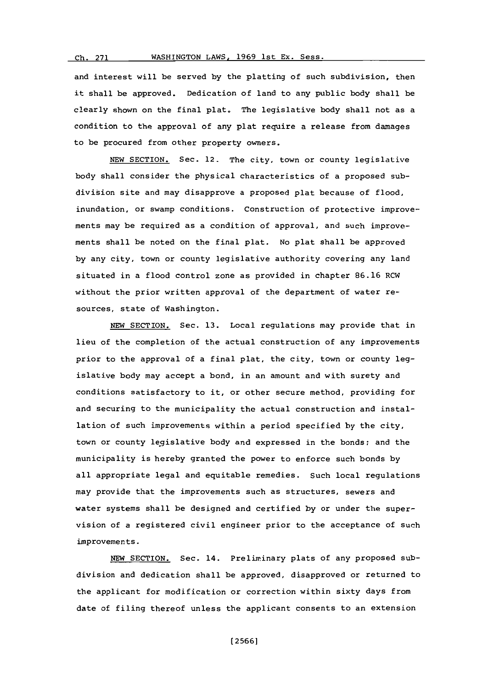# **Ch. 271 WASHINGTON** LAWS, **1969** 1st Ex. Sess.

and interest will be served **by** the platting of such subdivision, then it shall be approved. Dedication of land to any public body shall be clearly shown on the final plat. The legislative body shall not as a condition to the approval of any plat require a release from damages to be procured from other property owners.

**NEW** SECTION. Sec. 12. The city, town or county legislative body shall consider the physical characteristics of a proposed subdivision site and may disapprove a proposed plat because of flood, inundation, or swamp conditions. Construction of protective improvements may be required as a condition of approval, and such improvements shall be noted on the final plat. No plat shall be approved **by** any city, town or county legislative authority covering any land situated in a flood control zone as provided in chapter **86.16** ROW without the prior written approval of the department of water resources, state of Washington.

**NEW** SECTION. Sec. **13.** Local regulations may provide that in lieu of the completion of the actual construction of any improvements prior to the approval of a final plat, the city, town or county legislative body may accept a bond, in an amount and with surety and conditions satisfactory to it, or other secure method, providing for and securing to the municipality the actual construction and installation of such improvements within a period specified **by** the city, town or county legislative body and expressed in the bonds; and the municipality is hereby granted the power to enforce such bonds **by** all appropriate legal and equitable remedies. Such local regulations may provide that the improvements such as structures, sewers and water systems shall be designed and certified **by** or under the supervision of a registered civil engineer prior to the acceptance of such improvements.

NEW SECTION. Sec. 14. Preliminary plats of any proposed subdivision and dedication shall be approved, disapproved or returned to the applicant for modification or correction within sixty days from date of filing thereof unless the applicant consents to an extension

**(2566]**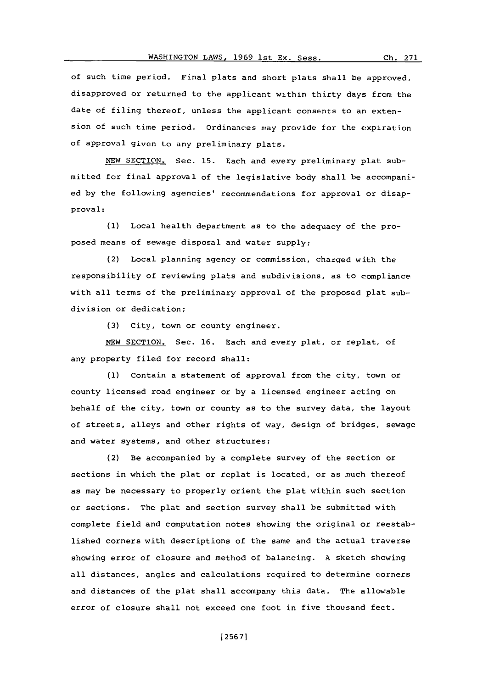of such time period. Final plats and short plats shall be approved, disapproved or returned to the applicant within thirty days from the date of filing thereof, unless the applicant consents to an extension of such time period. ordinances way provide for the expiration of approval given to any preliminary plats.

**NEW** SECTION, Sec. **15.** Each and every preliminary plat submitted for final approval of the legislative body shall. be accompanied **by** the following agencies' recommendations for approval or disapproval:

**(1)** Local health department as to the adequacy of the proposed means of sewage disposal and water supply;

(2) Local planning agency or commission, charged with the responsibility of reviewing plats and subdivisions, as to compliance with all terms of the preliminary approval of the proposed plat subdivision or dedication;

**(3)** City, town or county engineer.

**NEW** SECTION. Sec. **16.** Each and every plat, or replat, of any property filed for record shall:

**(1)** Contain a statement of approval from the city, town or county licensed road engineer or **by** a licensed engineer acting on behalf of the city, town or county as to the survey data, the layout of streets, alleys and other rights of way, design of bridges, sewage and water systems, and other structures;

(2) Be accompanied **by** a complete survey of the section or sections in which the plat or replat is located, or as much thereof as may be necessary to properly orient the plat within such section or sections. The plat and section survey shall be submitted with complete field and computation notes showing the original or reestablished corners with descriptions of the same and the actual traverse showing error of closure and method of balancing. **A** sketch showing all distances, angles and calculations required to determine corners and distances of the plat shall accompany this data. The allowable error of closure shall not exceed one foot in five thousand feet.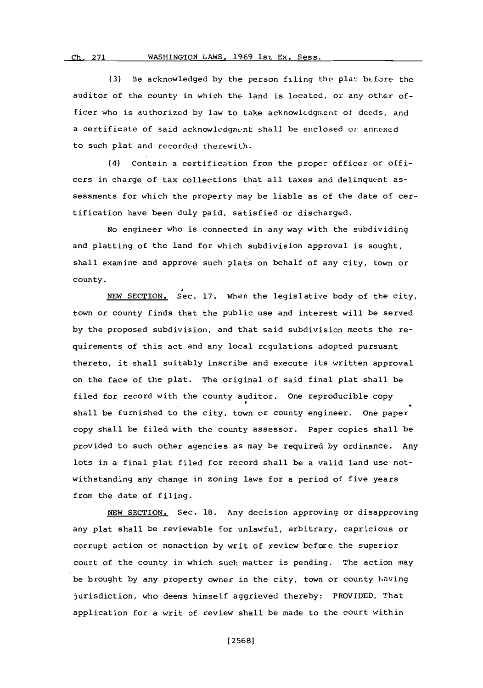## **Ch. 271** WASHINGTON LAWS, 1969 1st Ex. Sess

**(3)** Be acknowledged **by** the person filing the plat bcfore the auditor of the county in which the land is located, or any other officer who is authorized by law to take acknowledgment of deeds, and a certificate of said acknowledgment shall be enclosed or annexed to such plat and recorded therewith.

(4) Contain a certification from the proper officer or officers in charge of tax collections that all taxes and delinquent assessments for which the property may be liable as of the date of certification have been duly paid, satisfied or discharged.

No engineer who is connected in any way with the subdividing and platting of the land for which subdivision approval is sought, shall examine and approve such plats on behalf of any city, town or county.

**NEW** SECTION. Sec. **17.** When the legislative body of the city, town or county finds that the public use and interest will be served **by** the proposed subdivision, and that said subdivision meets the requirements of this act and any local regulations adopted pursuant thereto, it shall suitably inscribe and execute its written approval on the face of the plat. The original of said final plat shall be filed for record with the county auditor. One reproducible copy shall be furnished to the city, town or county engineer. One paper copy shall be filed with the county assessor. Paper copies shall be provided to such other agencies as may be required **by** ordinance. Any lots in a final plat filed for record shall be a valid land use notwithstanding any change in zoning laws for a period of five years from the date of filing.

**NEW** SECTION. Sec. **18.** Any decision approving or disapproving any plat shall be reviewable for unlawful, arbitrary, capricious or corrupt action or nonaction **by** writ of review before the superior court of the county in which such matter is pending. The action may be brought **by** any property owner in the city, town or county having jurisdiction, who deems himself aggrieved thereby: PROVIDED, That application for a writ of review shall be made to the court within

**[2568]**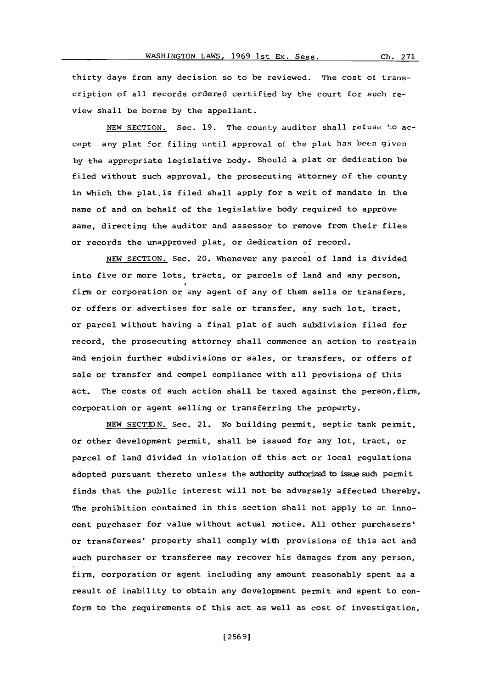thirty days from any decision so to be reviewed. The cost of transcription of all records ordered certified **by** the court for such review shall be borne **by** the appellant.

NEW SECTION. Sec. 19. The county auditor shall refuse to accept any plat for filing until approval of the plat has been given **by** the appropriate legislative body. Should a plat or dedication be filed without such approval, the prosecuting attorney of the county in which the plat is filed shall apply for a writ of mandate in the name of and on behalf of the legislative body required to approve same, directing the auditor and assessor to remove from their files or records the unapproved plat, or dedication of record.

**NEW** SECTION. Sec. 20. Whenever any parcel of land is divided into five or more lots, tracts, or parcels of land and any person, firm or corporation or any agent of any of them sells or transfers, or offers or advertises for sale or transfer, any such lot, tract, or parcel without having a final plat of such subdivision filed for record, the prosecuting attorney shall commence an action to restrain and enjoin further subdivisions or sales, or transfers, or offers of sale or transfer and compel compliance with all provisions of this act. The costs of such action shall be taxed against the person,firm, corporation or agent selling or transferring the property.

**NEW SECTIDN.** Sec. 21. No building permit, septic tank permit, or other development permit, shall be issued for any lot, tract, or parcel of land divided in violation of this act or local regulations adopted pursuant thereto unless the authority authorized to issue such permit finds that the public interest will not be adversely affected thereby. The prohibition contained in this section shall not apply to an innocent purchaser for value without actual notice. **All** other purchasers' or transferees' property shall comply with provisions of this act and such purchaser or transferee may recover his damages from any person, firm, corporation or agent including any amount reasonably spent as a result of inability to obtain any development permit and spent to conform to the requirements of this act as well as cost of investigation,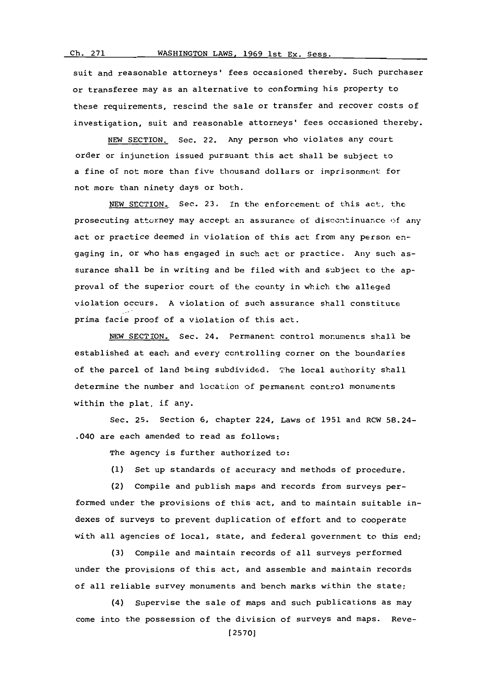suit and reasonable attorneys' fees occasioned thereby. Such purchaser or transferee may as an alternative to conforming his property to these requirements, rescind the sale or transfer and recover costs of investigation, suit and reasonable attorneys' fees occasioned thereby.

NEW SECTION. Sec. 22. Any person who violates any court order or injunction issued pursuant this act shall be subject to a fine of not more than five thousand dollars or imprisonment for not more than ninety days or both.

**NEW** SECTION. Sec. **23.** In the enforcement of this act, the prosecuting attorney may accept an assurance of discontinuance of any act or practice deemed in violation of this act from any person engaging in, or who has engaged in such act or practice. Any such assurance shall be in writing and be filed with and subject to the approval of the superior court of the county in which the alleged violation occurs. **A** violation of such assurance shall constitute prima facie proof of a violation of this act.

NEW SECTION. Sec. 24. Permanent control monuments shall be established at each and every controlling corner on the boundaries of the parcel of land being subdivided. The local authority shall determine the number and location of permanent control monuments within the plat, if any.

Sec. 25. Section **6,** chapter 224, Laws of **1951** and RCW 58.24- .040 are each amended to read as follows:

The agency is further authorized to:

**(1)** Set up standards of accuracy and methods of procedure.

(2) Compile and publish maps and records from surveys per-

formed under the provisions of this act, and to maintain suitable indexes of surveys to prevent duplication of effort and to cooperate with all agencies of local, state, and federal government to this end;

**(3)** Compile and maintain records of all surveys performed under the provisions of this act, and assemble and maintain records of all reliable survey monuments and bench marks within the state;

(4) Supervise the sale of maps and such publications as may come into the possession of the division of surveys and maps. Reve-

**[2570]**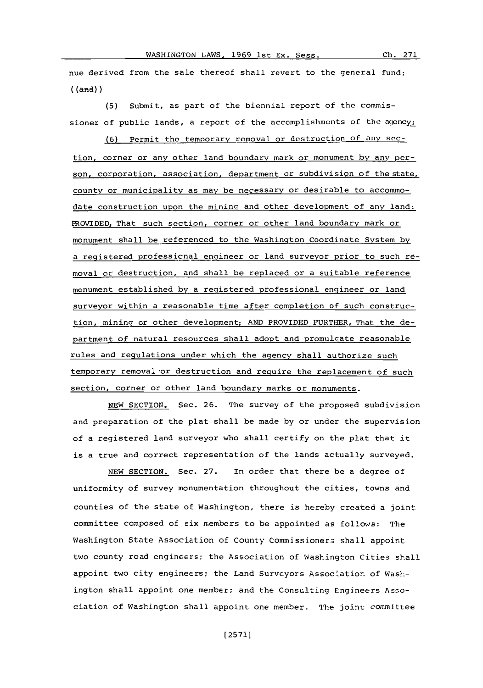nue derived from the sale thereof shall revert to the general fund; ((anl) **)**

**(5)** Submit, as part of the biennial report of the commissioner of public lands, a report of the accomplishments of the agency;

**(6)** Permit the temporary removal or destruction of any soction. corner or any other land boundary mark or monument **by** any person, corporation, association, department or subdivision of the state, county or municipality as may be necessary or desirable to accommodate construction upon the mining and other development of any land: PROVIDED, That such section, corner or other land boundary mark or monument shall be referenced to the Washington Coordinate System **by** a registered professicnal engineer or land surveyor prior to such removal or destruction, and shall be replaced or a suitable reference monument established **by** a registered professional engineer or land surveyor within a reasonable time after completion of such construction, mining or other development: **AND** PROVIDED FURTHER, That the de-\_ partment of natural resources shall adopt and promulgate reasonable rules and regulations under which the agency shall authorize such temporary removal or destruction and require the replacement of such section, corner or other land boundary marks or monuments.

**NEW** SECTION. Sec. **26.** The survey of the proposed subdivision and preparation of the plat shall be made **by** or under the supervision of a registered land surveyor who shall certify on the plat that it is a true and correct representation of the lands actually surveyed.

**NEW** SECTION. Sec. **27.** In order that there be a degree of uniformity of survey monumentation throughout the cities, towns and counties of the state of Washington, there is hereby created a joint committee composed of six members to be appointed as follows: The Washington State Association of County Commi ssioners shall appoint two county road engineers; the Association of Washington Cities shall appoint two city engineers; the Land Surveyors Association. of washington shall appoint one member; and the Consulting Engineers Association of Washington shall appoint one member. The joint committee

**[2571]**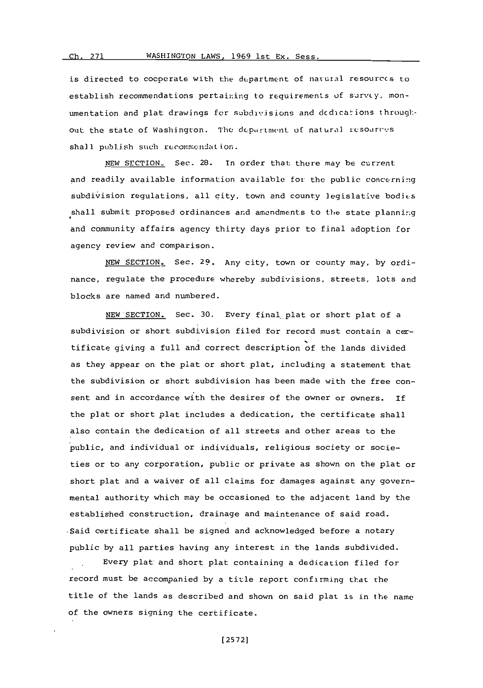is directed to cocperate with the department of natural resources to establish recommendations pertainin~g to requirements **of** survcy. nonumentation and plat drawings for subdivisions and dedications throughout the state of Washington. The department of natural resources shall publish such recommendation.

**NEW** SECTION. Sec. 28. In order that there may he current and readily available information available for the public concerning subdivision regulations, all city, town and county legislative bodics shall submit proposed ordinances and amendments to the state planning and community affairs agency thirty days prior to final adoption for agency review and comparison.

**NEW SECTION,** Sec. **29.** Any city, town or county may, **by** ordinance, regulate the procedure whereby subdivisions, streets, lots and blocks are named and numbered.

**NEW** SECTION. Sec. **30.** Every final plat or short plat of a subdivision or short subdivision filed for record must contain a certificate giving a full and correct description of the lands divided as they appear on the plat or short plat, including a statement that the subdivision or short subdivision has been made with the free consent and in accordance with the desires of the owner or Owners. **if** the plat or short plat includes a dedication, the certificate shall also contain the dedication of all streets and other areas to the public, and individual or individuals, religious society or societies or to any corporation, public or private as shown on the plat or short plat and a waiver of all claims for damages against any governmental authority which may be occasioned to the adjacent land **by** the established construction, drainage and maintenance of said road. Said certificate shall be signed and acknowledged before a notary public **by** all parties having any interest in the lands subdivided.

Every plat and short plat containing a dedication filed for record must be accompanied **by** a title report confirming that the title of the lands as described and shown on said plat is in the name of the owners signing the certificate.

**[ 2572]**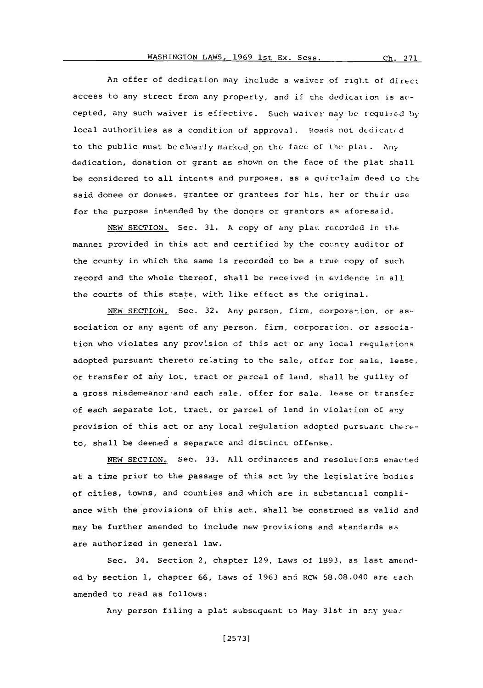An offer of dedication may include a waiver of right of direct access to any street from any property, and if the dedication is accepted, any such waiver is effective. Such waiver may be requircd **by** local authorities as a condition of approval. Roads not dedicated to the public must bc cloax~y marked on the face of the plat **.** Aniy dedication, donation or grant as shown on the face of the plat shall be considered to all intents and purposes, as a quitclaim deed to the said donee or donees, grantee or grantees for his, her or their use for the purpose intended by the donors or grantors as aforesaid.

**NEW** SECTION. Sec. **31. A** copy of any plau. recorded in the manner provided in this act and certified by the county auditor of the county in which the same is recorded to be a true copy of such record and the whole thereof, shall be received in evidence in all the courts of this state, with like effect as the original.

NEW SECTION. Sec. 32. Any person, firm, corporation, or association or any agent of any person, firm, corporation, or association who violates any provisicn **of** this act or any local regulation-s adopted pursuant thereto relating to the sale, offer for sale, lease, or transfer of aniy lot, tract or parcel of land, shall be guilty of a gross misdemeanor and each sale, offer for sale, lease or transfer of each separate lot, tract, or parcel of land in violation of any provision of this act or any local regulation adopted pursuant thereto, shall be deemed a separate and distinct offense.

**NEW SECTION.** See. **33. All** ordinances and resolutions enacted at a time prior to the passage of this act by the legislative bodies of cities, towns, and counties and which are in substantial compliance with the provisions of this act, shall be construed as valid and may be further amended to include new provisions and standards as are authorized in general law.

Sec. 34. Section 2, chapter **129,** Laws of **1893,** as last amended **by** section **1,** chapter **66,** Laws of **1963** an5 R'W' 58.08.040 are f-ach amended to read as follows:

Any person filing a plat subsequent to May 31st in any year

**[ 2573]**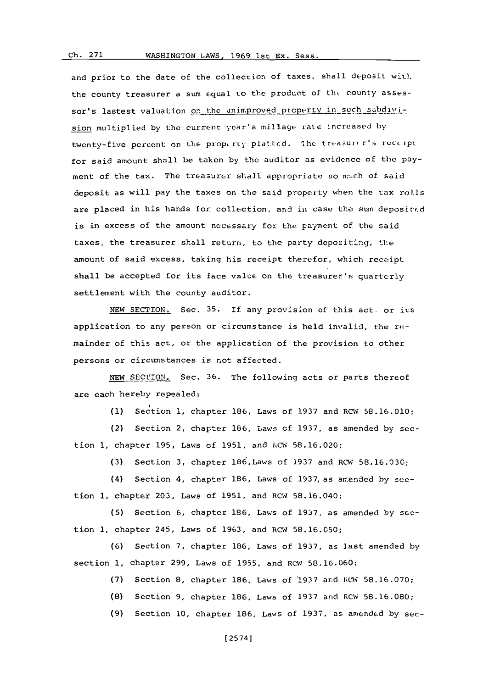#### **Ch. 271**

### WASHINGTON LAWS, 1969 1st Ex. Sess.

and prior to the date of the collection of taxes, shall deposit with. the county treasurer a sum equal to the product of the county assessor's lastest valuation on the unimproved property in such subdivision multiplied by the current year's millage rate increased by twenty-five percent on the property platted. The treasurer's receipt for said amount shall be taken **by** the auditor as evidence of the payment of the tax. The treasurer shall appropriate so mach of said deposit as will pay the taxes on the said property when the tax rolls are placed in his hands for collection, and in case the sum deposited is in excess of the amount necessary for the payment of the said taxes, the treasurer shall return, to the party depositing, the amount of said excess, taking his receipt therefor, which receipt shall be accepted for its face value on the treasurer's quarterly settlement with the county auditor.

NEW **SECTION..** Sec. **35. If** any provision of this act. or its application to any person or circumstance is held invalid, the remainder of this act, or the application of the provision to other persons or circumstances is not affected.

**NEW SECTION.** Sec. **36.** The following acts or parts thereof are each hereby repealed:

**(1)** Section **1,** chapter **186,** Laws of **1937** and RCW **58.16.010;**

(2) Section 2, chapter **186,** Laws **of 1937,** as amended **by** section **1,** chapter **195,** Laws **of 1951,** and RCW **58.16.020;**

**(3)** Section **3,** chapter 186,Laws of **1937** and RCW **58.16.030:,**

(4) Section 4, chapter **186,** Laws of 1937, as amended **by** section **1,** chapter *203,* Laws of **1951,** and RCW **58.16.040;**

**(5)** Section **6,** chapter **186,** Laws of **1937,** as amended **by** section **1,** chapter 245, Laws of **1963,** and RCW **58.16.050;**

**(6)** Section **7,** chapter **186,** Laws of **1937,** as last amended **by** section **1,** chapter **299,** Laws of **1955,** and RCWI **58.16.060;**

**(7)** Section **8,** chapter **186,** Laws of **'1937** ard I CW **58.16.070;**

**(8)** Section **9,** chapter **186,** Laws of **1937** and RC-W **58.16.080;**

**(9)** Section **10,** chapter **186,** Laws of **1937,** as amend~ed **by** sec-